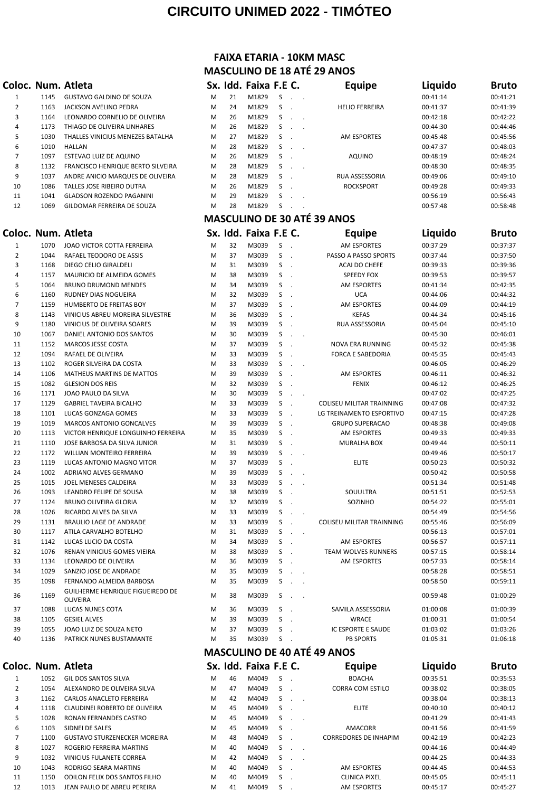## **CIRCUITO UNIMED 2022 - TIMÓTEO**

## **FAIXA ETARIA - 10KM MASC MASCULINO DE 18 ATÉ 29 ANOS**

|              |              | Coloc. Num. Atleta                                       |               |          | Sx. Idd. Faixa F.E C. |                                         | <b>Equipe</b>                                          | Liquido              | Bruto                |
|--------------|--------------|----------------------------------------------------------|---------------|----------|-----------------------|-----------------------------------------|--------------------------------------------------------|----------------------|----------------------|
| 1            | 1145         | <b>GUSTAVO GALDINO DE SOUZA</b>                          | M             | 21       | M1829                 | S<br>$\sim 10^{-11}$ .                  |                                                        | 00:41:14             | 00:41:21             |
| 2            | 1163         | JACKSON AVELINO PEDRA                                    | M             | 24       | M1829                 | S<br>$\overline{\phantom{a}}$           | <b>HELIO FERREIRA</b>                                  | 00:41:37             | 00:41:39             |
| 3            | 1164         | LEONARDO CORNELIO DE OLIVEIRA                            | M             | 26       | M1829                 | S<br>$\overline{\phantom{a}}$           | $\overline{\phantom{a}}$                               | 00:42:18             | 00:42:22             |
| 4            | 1173         | THIAGO DE OLIVEIRA LINHARES                              | M             | 26       | M1829                 | S<br>$\sim$                             | $\sim$                                                 | 00:44:30             | 00:44:46             |
| 5            | 1030         | THALLES VINICIUS MENEZES BATALHA                         | M             | 27       | M1829                 | S<br>$\sim$                             | <b>AM ESPORTES</b>                                     | 00:45:48             | 00:45:56             |
| 6            | 1010         | <b>HALLAN</b>                                            | M             | 28       | M1829                 | S<br>$\sim$                             | $\sim$                                                 | 00:47:37             | 00:48:03             |
| 7            | 1097         | ESTEVAO LUIZ DE AQUINO                                   | M             | 26       | M1829                 | S                                       | <b>AQUINO</b>                                          | 00:48:19             | 00:48:24             |
| 8            | 1132         | FRANCISCO HENRIQUE BERTO SILVEIRA                        | M             | 28       | M1829                 | S<br>$\ddot{\phantom{a}}$               | $\overline{\phantom{a}}$                               | 00:48:30             | 00:48:35             |
| 9            | 1037         | ANDRE ANICIO MARQUES DE OLIVEIRA                         | M             | 28       | M1829                 | S                                       | RUA ASSESSORIA                                         | 00:49:06             | 00:49:10             |
| 10           | 1086         | TALLES JOSE RIBEIRO DUTRA                                | M             | 26       | M1829                 | S                                       | ROCKSPORT                                              | 00:49:28             | 00:49:33             |
| 11           | 1041         | <b>GLADSON ROZENDO PAGANINI</b>                          | M             | 29       | M1829                 | S                                       |                                                        | 00:56:19             | 00:56:43             |
| 12           | 1069         | GILDOMAR FERREIRA DE SOUZA                               | M             | 28       | M1829                 | S<br>$\sim$                             | <b>MASCULINO DE 30 ATÉ 39 ANOS</b>                     | 00:57:48             | 00:58:48             |
|              |              | Coloc. Num. Atleta                                       |               |          | Sx. Idd. Faixa F.E C. |                                         | <b>Equipe</b>                                          | Liquido              | <b>Bruto</b>         |
|              | 1070         |                                                          |               | 32       |                       | S                                       | <b>AM ESPORTES</b>                                     | 00:37:29             | 00:37:37             |
| 1<br>2       | 1044         | JOAO VICTOR COTTA FERREIRA<br>RAFAEL TEODORO DE ASSIS    | M<br>M        | 37       | M3039<br>M3039        | S                                       | PASSO A PASSO SPORTS                                   | 00:37:44             | 00:37:50             |
| 3            | 1168         | DIEGO CELIO GIRALDELI                                    | M             | 31       | M3039                 | $\overline{\phantom{a}}$<br>S<br>$\sim$ | <b>ACAI DO CHEFE</b>                                   | 00:39:33             | 00:39:36             |
| 4            | 1157         | MAURICIO DE ALMEIDA GOMES                                | M             | 38       | M3039                 | S                                       | <b>SPEEDY FOX</b>                                      | 00:39:53             | 00:39:57             |
| 5            | 1064         | <b>BRUNO DRUMOND MENDES</b>                              | M             | 34       | M3039                 | S<br>$\sim$                             | AM ESPORTES                                            | 00:41:34             | 00:42:35             |
| 6            | 1160         | RUDNEY DIAS NOGUEIRA                                     | M             | 32       | M3039                 | S<br>$\sim$                             | <b>UCA</b>                                             | 00:44:06             | 00:44:32             |
| 7            | 1159         | HUMBERTO DE FREITAS BOY                                  | M             | 37       | M3039                 | S<br>$\sim$                             | <b>AM ESPORTES</b>                                     | 00:44:09             | 00:44:19             |
| 8            | 1143         | VINICIUS ABREU MOREIRA SILVESTRE                         | M             | 36       | M3039                 | S                                       | <b>KEFAS</b>                                           | 00:44:34             | 00:45:16             |
| 9            | 1180         | VINICIUS DE OLIVEIRA SOARES                              | M             | 39       | M3039                 | S<br>$\sim$                             | RUA ASSESSORIA                                         | 00:45:04             | 00:45:10             |
| 10           | 1067         | DANIEL ANTONIO DOS SANTOS                                | M             | 30       | M3039                 | S<br>$\overline{\phantom{a}}$           | $\overline{\phantom{a}}$                               | 00:45:30             | 00:46:01             |
| 11           | 1152         | MARCOS JESSE COSTA                                       | M             | 37       | M3039                 | S<br>$\sim$                             | NOVA ERA RUNNING                                       | 00:45:32             | 00:45:38             |
| 12           | 1094         | RAFAEL DE OLIVEIRA                                       | M             | 33       | M3039                 | S                                       | <b>FORCA E SABEDORIA</b>                               | 00:45:35             | 00:45:43             |
| 13           | 1102         | ROGER SILVEIRA DA COSTA                                  | M             | 33       | M3039                 | S<br>$\mathbf{r}$                       | $\sim$                                                 | 00:46:05             | 00:46:29             |
| 14           | 1106         | MATHEUS MARTINS DE MATTOS                                | M             | 39       | M3039                 | S<br>$\sim$                             | AM ESPORTES                                            | 00:46:11             | 00:46:32             |
| 15           | 1082         | <b>GLESION DOS REIS</b>                                  | M             | 32       | M3039                 | S<br>$\sim$                             | <b>FENIX</b>                                           | 00:46:12             | 00:46:25             |
| 16           | 1171         | JOAO PAULO DA SILVA                                      | M             | 30       | M3039                 | S<br>$\ddot{\phantom{a}}$               | $\ddot{\phantom{a}}$                                   | 00:47:02             | 00:47:25             |
| 17           | 1129         | <b>GABRIEL TAVEIRA BICALHO</b>                           | M             | 33       | M3039                 | S<br>$\sim$                             | COLISEU MILITAR TRAINNING                              | 00:47:08             | 00:47:32             |
| 18           | 1101         | LUCAS GONZAGA GOMES                                      | M             | 33       | M3039                 | S<br>$\sim$                             | LG TREINAMENTO ESPORTIVO                               | 00:47:15             | 00:47:28             |
| 19           | 1019         | <b>MARCOS ANTONIO GONCALVES</b>                          | M             | 39       | M3039                 | S<br>$\sim$                             | <b>GRUPO SUPERACAO</b>                                 | 00:48:38             | 00:49:08             |
| 20           | 1113         | VICTOR HENRIQUE LONGUINHO FERREIRA                       | M             | 35       | M3039                 | S                                       | <b>AM ESPORTES</b>                                     | 00:49:33             | 00:49:33             |
| 21           | 1110         | JOSE BARBOSA DA SILVA JUNIOR                             | M             | 31       | M3039                 | S<br>$\sim$                             | <b>MURALHA BOX</b>                                     | 00:49:44             | 00:50:11             |
| 22           | 1172         | WILLIAN MONTEIRO FERREIRA                                | M             | 39       | M3039                 | S<br>$\mathcal{L}_{\mathbf{r}}$         | $\overline{\phantom{a}}$                               | 00:49:46             | 00:50:17             |
| 23           | 1119         | LUCAS ANTONIO MAGNO VITOR                                | M             | 37       | M3039                 | S                                       | <b>ELITE</b>                                           | 00:50:23             | 00:50:32             |
| 24           | 1002         | ADRIANO ALVES GERMANO                                    | M             | 39       | M3039                 | S                                       |                                                        | 00:50:42             | 00:50:58             |
| 25           | 1015         | JOEL MENESES CALDEIRA                                    | M             | 33       | M3039                 | S<br>$\ddot{\phantom{a}}$               |                                                        | 00:51:34             | 00:51:48             |
| 26           | 1093         | LEANDRO FELIPE DE SOUSA                                  | M             | 38       | M3039                 | S                                       | SOUULTRA                                               | 00:51:51             | 00:52:53             |
| 27           | 1124<br>1026 | BRUNO OLIVEIRA GLORIA                                    | M<br>M        | 32<br>33 | M3039<br>M3039        | S<br>S                                  | SOZINHO                                                | 00:54:22             | 00:55:01<br>00:54:56 |
| 28<br>29     | 1131         | RICARDO ALVES DA SILVA<br><b>BRAULIO LAGE DE ANDRADE</b> | M             | 33       | M3039                 | S<br>$\sim$                             | <b>COLISEU MILITAR TRAINNING</b>                       | 00:54:49<br>00:55:46 | 00:56:09             |
| 30           | 1117         | ATILA CARVALHO BOTELHO                                   | M             | 31       | M3039                 | S<br>$\ddot{\phantom{a}}$               | $\sim$                                                 | 00:56:13             | 00:57:01             |
| 31           | 1142         | LUCAS LUCIO DA COSTA                                     | M             | 34       | M3039                 | S                                       | AM ESPORTES                                            | 00:56:57             | 00:57:11             |
| 32           | 1076         | RENAN VINICIUS GOMES VIEIRA                              | M             | 38       | M3039                 | S                                       | TEAM WOLVES RUNNERS                                    | 00:57:15             | 00:58:14             |
| 33           | 1134         | LEONARDO DE OLIVEIRA                                     | M             | 36       | M3039                 | S                                       | AM ESPORTES                                            | 00:57:33             | 00:58:14             |
| 34           | 1029         | SANZIO JOSE DE ANDRADE                                   | M             | 35       | M3039                 | S<br>$\ddot{\phantom{a}}$               | $\sim$                                                 | 00:58:28             | 00:58:51             |
| 35           | 1098         | FERNANDO ALMEIDA BARBOSA                                 | M             | 35       | M3039                 | S<br>$\ddot{\phantom{a}}$               | $\sim$                                                 | 00:58:50             | 00:59:11             |
| 36           | 1169         | GUILHERME HENRIQUE FIGUEIREDO DE                         | M             | 38       | M3039                 | S<br>$\sim 10^{-11}$                    |                                                        | 00:59:48             | 01:00:29             |
|              |              | <b>OLIVEIRA</b>                                          |               |          |                       |                                         |                                                        |                      |                      |
| 37           | 1088         | LUCAS NUNES COTA                                         | M             | 36       | M3039                 | S<br>$\sim$                             | SAMILA ASSESSORIA                                      | 01:00:08             | 01:00:39             |
| 38           | 1105         | <b>GESIEL ALVES</b>                                      | M             | 39       | M3039                 | S                                       | <b>WRACE</b>                                           | 01:00:31             | 01:00:54             |
| 39           | 1055         | JOAO LUIZ DE SOUZA NETO                                  | M             | 37       | M3039                 | S                                       | IC ESPORTE E SAUDE                                     | 01:03:02             | 01:03:26             |
| 40           | 1136         | PATRICK NUNES BUSTAMANTE                                 | M             | 35       | M3039                 | S                                       | <b>PB SPORTS</b><br><b>MASCULINO DE 40 ATÉ 49 ANOS</b> | 01:05:31             | 01:06:18             |
|              |              |                                                          |               |          |                       |                                         |                                                        |                      |                      |
|              |              | Coloc. Num. Atleta                                       |               |          | Sx. Idd. Faixa F.E C. |                                         | <b>Equipe</b>                                          | Liquido              | <b>Bruto</b>         |
| $\mathbf{1}$ | 1052         | GIL DOS SANTOS SILVA                                     | M             | 46       | M4049                 | S<br>$\sim$                             | <b>BOACHA</b>                                          | 00:35:51             | 00:35:53             |
| 2            | 1054         | ALEXANDRO DE OLIVEIRA SILVA                              | M             | 47       | M4049                 | S                                       | CORRA COM ESTILO                                       | 00:38:02             | 00:38:05             |
| 3            | 1162<br>1119 | CARLOS ANACLETO FERREIRA<br>CLAUDINELROBERTO DE OUVEIRA  | M<br><b>N</b> | 42<br>45 | M4049<br><b>MANA0</b> | S                                       | <b>ELITE</b>                                           | 00:38:04<br>00.40.10 | 00:38:13<br>00.40.12 |

|    | 1162 | <b>CARLOS ANACLETO FERREIRA</b>     | м | 42 | M4049 |  |                              | 00:38:04 | 00:38:13 |
|----|------|-------------------------------------|---|----|-------|--|------------------------------|----------|----------|
| 4  | 1118 | CLAUDINEI ROBERTO DE OLIVEIRA       | M | 45 | M4049 |  | <b>ELITE</b>                 | 00:40:10 | 00:40:12 |
| 5. | 1028 | RONAN FERNANDES CASTRO              | M | 45 | M4049 |  |                              | 00:41:29 | 00:41:43 |
| 6  | 1103 | SIDNEI DE SALES                     | м | 45 | M4049 |  | AMACORR                      | 00:41:56 | 00:41:59 |
|    | 1100 | <b>GUSTAVO STURZENECKER MOREIRA</b> | M | 48 | M4049 |  | <b>CORREDORES DE INHAPIM</b> | 00:42:19 | 00:42:23 |
| 8  | 1027 | ROGERIO FERREIRA MARTINS            | M | 40 | M4049 |  |                              | 00:44:16 | 00:44:49 |
| 9  | 1032 | VINICIUS FULANETE CORREA            | M | 42 | M4049 |  |                              | 00:44:25 | 00:44:33 |
| 10 | 1043 | RODRIGO SEARA MARTINS               | м | 40 | M4049 |  | AM ESPORTES                  | 00:44:45 | 00:44:53 |
| 11 | 1150 | ODILON FELIX DOS SANTOS FILHO       | M | 40 | M4049 |  | <b>CLINICA PIXEL</b>         | 00:45:05 | 00:45:11 |
| 12 | 1013 | JEAN PAULO DE ABREU PEREIRA         | М | 41 | M4049 |  | AM ESPORTES                  | 00:45:17 | 00:45:27 |